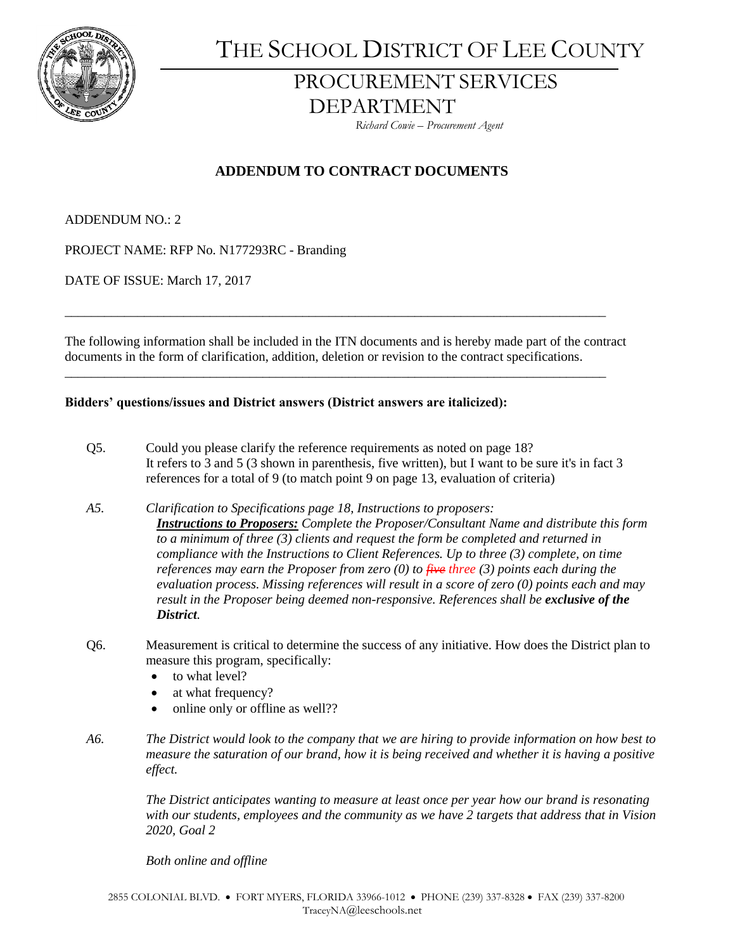

THE SCHOOL DISTRICT OF LEE COUNTY

## PROCUREMENT SERVICES DEPARTMENT

 *Richard Cowie – Procurement Agent*

## **ADDENDUM TO CONTRACT DOCUMENTS**

ADDENDUM NO.: 2

PROJECT NAME: RFP No. N177293RC - Branding

DATE OF ISSUE: March 17, 2017

The following information shall be included in the ITN documents and is hereby made part of the contract documents in the form of clarification, addition, deletion or revision to the contract specifications.

\_\_\_\_\_\_\_\_\_\_\_\_\_\_\_\_\_\_\_\_\_\_\_\_\_\_\_\_\_\_\_\_\_\_\_\_\_\_\_\_\_\_\_\_\_\_\_\_\_\_\_\_\_\_\_\_\_\_\_\_\_\_\_\_\_\_\_\_\_\_\_\_\_\_\_\_\_\_\_\_\_\_

\_\_\_\_\_\_\_\_\_\_\_\_\_\_\_\_\_\_\_\_\_\_\_\_\_\_\_\_\_\_\_\_\_\_\_\_\_\_\_\_\_\_\_\_\_\_\_\_\_\_\_\_\_\_\_\_\_\_\_\_\_\_\_\_\_\_\_\_\_\_\_\_\_\_\_\_\_\_\_\_\_\_

## **Bidders' questions/issues and District answers (District answers are italicized):**

- Q5. Could you please clarify the reference requirements as noted on page 18? It refers to 3 and 5 (3 shown in parenthesis, five written), but I want to be sure it's in fact 3 references for a total of 9 (to match point 9 on page 13, evaluation of criteria)
- *A5. Clarification to Specifications page 18, Instructions to proposers: Instructions to Proposers: Complete the Proposer/Consultant Name and distribute this form to a minimum of three (3) clients and request the form be completed and returned in compliance with the Instructions to Client References. Up to three (3) complete, on time references may earn the Proposer from zero (0) to five three (3) points each during the evaluation process. Missing references will result in a score of zero (0) points each and may result in the Proposer being deemed non-responsive. References shall be exclusive of the District.*
- Q6. Measurement is critical to determine the success of any initiative. How does the District plan to measure this program, specifically:
	- to what level?
	- at what frequency?
	- online only or offline as well??
- *A6. The District would look to the company that we are hiring to provide information on how best to measure the saturation of our brand, how it is being received and whether it is having a positive effect.*

*The District anticipates wanting to measure at least once per year how our brand is resonating with our students, employees and the community as we have 2 targets that address that in Vision 2020, Goal 2*

*Both online and offline*